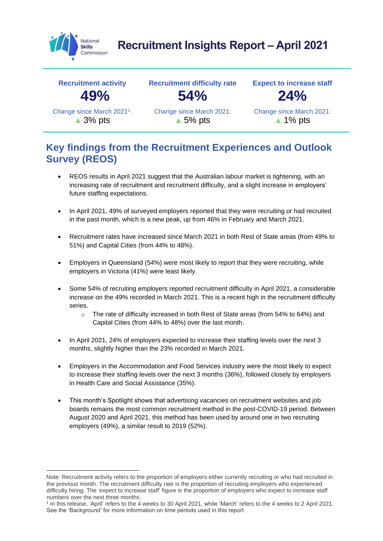

# **Recruitment Insights Report – April 2021**



# **Key findings from the Recruitment Experiences and Outlook Survey (REOS)**

- REOS results in April 2021 suggest that the Australian labour market is tightening, with an increasing rate of recruitment and recruitment difficulty, and a slight increase in employers' future staffing expectations.
- In April 2021, 49% of surveyed employers reported that they were recruiting or had recruited in the past month, which is a new peak, up from 46% in February and March 2021.
- Recruitment rates have increased since March 2021 in both Rest of State areas (from 49% to 51%) and Capital Cities (from 44% to 48%).
- Employers in Queensland (54%) were most likely to report that they were recruiting, while employers in Victoria (41%) were least likely.
- Some 54% of recruiting employers reported recruitment difficulty in April 2021, a considerable increase on the 49% recorded in March 2021. This is a recent high in the recruitment difficulty series.
	- o The rate of difficulty increased in both Rest of State areas (from 54% to 64%) and Capital Cities (from 44% to 48%) over the last month.
- In April 2021, 24% of employers expected to increase their staffing levels over the next 3 months, slightly higher than the 23% recorded in March 2021.
- Employers in the Accommodation and Food Services industry were the most likely to expect to increase their staffing levels over the next 3 months (36%), followed closely by employers in Health Care and Social Assistance (35%).
- This month's Spotlight shows that advertising vacancies on recruitment websites and job boards remains the most common recruitment method in the post-COVID-19 period. Between August 2020 and April 2021, this method has been used by around one in two recruiting employers (49%), a similar result to 2019 (52%).

Note: Recruitment activity refers to the proportion of employers either currently recruiting or who had recruited in the previous month. The recruitment difficulty rate is the proportion of recruiting employers who experienced difficulty hiring. The 'expect to increase staff' figure is the proportion of employers who expect to increase staff numbers over the next three months.

<sup>1</sup> In this release, 'April' refers to the 4 weeks to 30 April 2021, while 'March' refers to the 4 weeks to 2 April 2021. See the 'Background' for more information on time periods used in this report.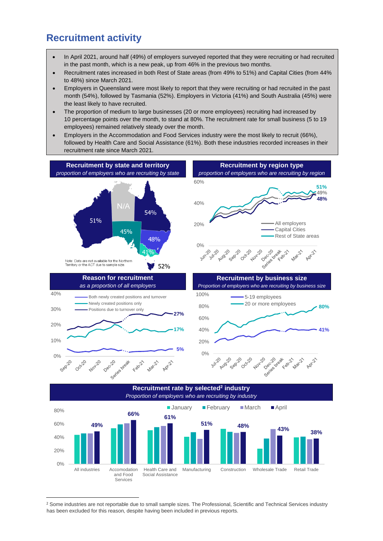### **Recruitment activity**

- In April 2021, around half (49%) of employers surveyed reported that they were recruiting or had recruited in the past month, which is a new peak, up from 46% in the previous two months.
- Recruitment rates increased in both Rest of State areas (from 49% to 51%) and Capital Cities (from 44% to 48%) since March 2021.
- Employers in Queensland were most likely to report that they were recruiting or had recruited in the past month (54%), followed by Tasmania (52%). Employers in Victoria (41%) and South Australia (45%) were the least likely to have recruited.
- The proportion of medium to large businesses (20 or more employees) recruiting had increased by 10 percentage points over the month, to stand at 80%. The recruitment rate for small business (5 to 19 employees) remained relatively steady over the month.
- Employers in the Accommodation and Food Services industry were the most likely to recruit (66%), followed by Health Care and Social Assistance (61%). Both these industries recorded increases in their recruitment rate since March 2021.



**Recruitment rate by selected<sup>2</sup> industry** *Proportion of employers who are recruiting by industry*



<sup>&</sup>lt;sup>2</sup> Some industries are not reportable due to small sample sizes. The Professional, Scientific and Technical Services industry has been excluded for this reason, despite having been included in previous reports.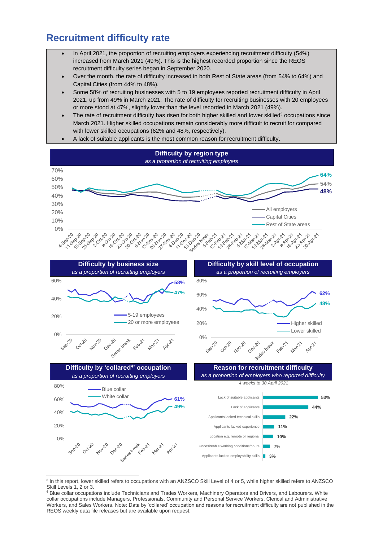# **Recruitment difficulty rate**

- In April 2021, the proportion of recruiting employers experiencing recruitment difficulty (54%) increased from March 2021 (49%). This is the highest recorded proportion since the REOS recruitment difficulty series began in September 2020.
- Over the month, the rate of difficulty increased in both Rest of State areas (from 54% to 64%) and Capital Cities (from 44% to 48%).
- Some 58% of recruiting businesses with 5 to 19 employees reported recruitment difficulty in April 2021, up from 49% in March 2021. The rate of difficulty for recruiting businesses with 20 employees or more stood at 47%, slightly lower than the level recorded in March 2021 (49%).
- The rate of recruitment difficulty has risen for both higher skilled and lower skilled<sup>3</sup> occupations since March 2021. Higher skilled occupations remain considerably more difficult to recruit for compared with lower skilled occupations (62% and 48%, respectively).
- A lack of suitable applicants is the most common reason for recruitment difficulty.



<sup>&</sup>lt;sup>3</sup> In this report, lower skilled refers to occupations with an ANZSCO Skill Level of 4 or 5, while higher skilled refers to ANZSCO Skill Levels 1, 2 or 3.

<sup>4</sup> Blue collar occupations include Technicians and Trades Workers, Machinery Operators and Drivers, and Labourers. White collar occupations include Managers, Professionals, Community and Personal Service Workers, Clerical and Administrative Workers, and Sales Workers. Note: Data by 'collared' occupation and reasons for recruitment difficulty are not published in the REOS weekly data file releases but are available upon request.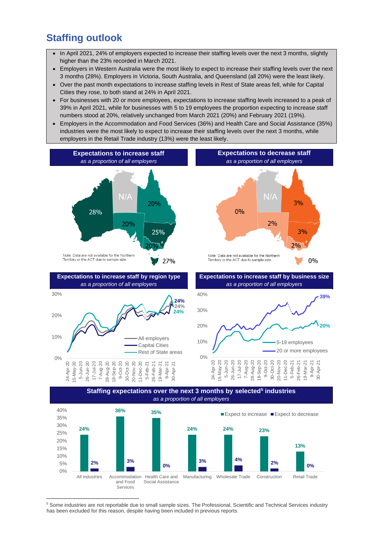# **Staffing outlook**

- In April 2021, 24% of employers expected to increase their staffing levels over the next 3 months, slightly higher than the 23% recorded in March 2021.
- Employers in Western Australia were the most likely to expect to increase their staffing levels over the next 3 months (28%). Employers in Victoria, South Australia, and Queensland (all 20%) were the least likely.
- Over the past month expectations to increase staffing levels in Rest of State areas fell, while for Capital Cities they rose, to both stand at 24% in April 2021.
- For businesses with 20 or more employees, expectations to increase staffing levels increased to a peak of 39% in April 2021, while for businesses with 5 to 19 employees the proportion expecting to increase staff numbers stood at 20%, relatively unchanged from March 2021 (20%) and February 2021 (19%).
- Employers in the Accommodation and Food Services (36%) and Health Care and Social Assistance (35%) industries were the most likely to expect to increase their staffing levels over the next 3 months, while employers in the Retail Trade industry (13%) were the least likely.



and Food Services Social Assistance

**3% 4% 2% 0%**

Manufacturing Wholesale Trade Construction Retail Trade

**0%**

**2% 3%**

All industries Accommodation Health Care and

0% 5% 10%

<sup>5</sup> Some industries are not reportable due to small sample sizes. The Professional, Scientific and Technical Services industry has been excluded for this reason, despite having been included in previous reports.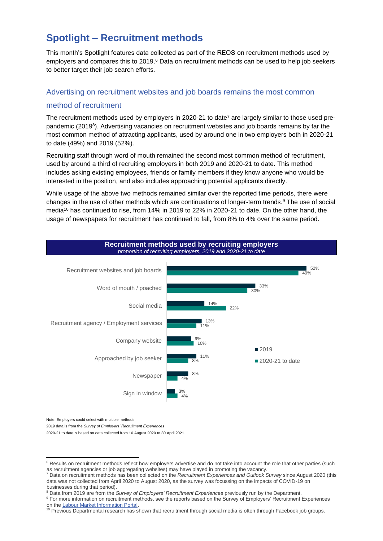# **Spotlight – Recruitment methods**

This month's Spotlight features data collected as part of the REOS on recruitment methods used by employers and compares this to 2019.<sup>6</sup> Data on recruitment methods can be used to help job seekers to better target their job search efforts.

#### Advertising on recruitment websites and job boards remains the most common

#### method of recruitment

The recruitment methods used by employers in 2020-21 to date<sup>7</sup> are largely similar to those used prepandemic (2019<sup>8</sup>). Advertising vacancies on recruitment websites and job boards remains by far the most common method of attracting applicants, used by around one in two employers both in 2020-21 to date (49%) and 2019 (52%).

Recruiting staff through word of mouth remained the second most common method of recruitment, used by around a third of recruiting employers in both 2019 and 2020-21 to date. This method includes asking existing employees, friends or family members if they know anyone who would be interested in the position, and also includes approaching potential applicants directly.

While usage of the above two methods remained similar over the reported time periods, there were changes in the use of other methods which are continuations of longer-term trends.<sup>9</sup> The use of social media<sup>10</sup> has continued to rise, from 14% in 2019 to 22% in 2020-21 to date. On the other hand, the usage of newspapers for recruitment has continued to fall, from 8% to 4% over the same period.



Note: Employers could select with multiple methods

2019 data is from the *Survey of Employers' Recruitment Experiences*

2020-21 to date is based on data collected from 10 August 2020 to 30 April 2021.

<sup>&</sup>lt;sup>6</sup> Results on recruitment methods reflect how employers advertise and do not take into account the role that other parties (such as recruitment agencies or job aggregating websites) may have played in promoting the vacancy.

<sup>7</sup> Data on recruitment methods has been collected on the *Recruitment Experiences and Outlook Survey* since August 2020 (this data was not collected from April 2020 to August 2020, as the survey was focussing on the impacts of COVID-19 on businesses during that period).

<sup>8</sup> Data from 2019 are from the *Survey of Employers' Recruitment Experiences* previously run by the Department.

<sup>&</sup>lt;sup>9</sup> For more information on recruitment methods, see the reports based on the Survey of Employers' Recruitment Experiences on the [Labour Market Information Portal.](https://lmip.gov.au/default.aspx?LMIP/GainInsights/EmployersRecruitmentInsights)

<sup>&</sup>lt;sup>10</sup> Previous Departmental research has shown that recruitment through social media is often through Facebook job groups.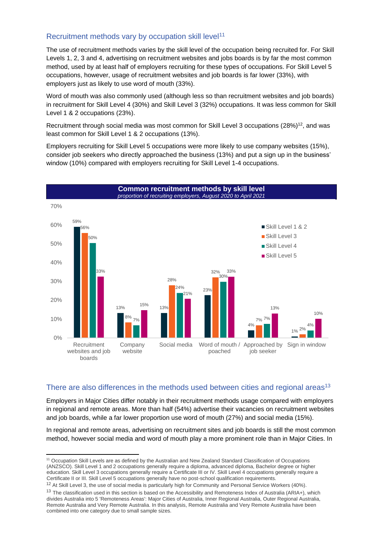#### Recruitment methods vary by occupation skill level<sup>11</sup>

The use of recruitment methods varies by the skill level of the occupation being recruited for. For Skill Levels 1, 2, 3 and 4, advertising on recruitment websites and jobs boards is by far the most common method, used by at least half of employers recruiting for these types of occupations. For Skill Level 5 occupations, however, usage of recruitment websites and job boards is far lower (33%), with employers just as likely to use word of mouth (33%).

Word of mouth was also commonly used (although less so than recruitment websites and job boards) in recruitment for Skill Level 4 (30%) and Skill Level 3 (32%) occupations. It was less common for Skill Level 1 & 2 occupations (23%).

Recruitment through social media was most common for Skill Level 3 occupations (28%)<sup>12</sup>, and was least common for Skill Level 1 & 2 occupations (13%).

Employers recruiting for Skill Level 5 occupations were more likely to use company websites (15%), consider job seekers who directly approached the business (13%) and put a sign up in the business' window (10%) compared with employers recruiting for Skill Level 1-4 occupations.



#### There are also differences in the methods used between cities and regional areas<sup>13</sup>

Employers in Major Cities differ notably in their recruitment methods usage compared with employers in regional and remote areas. More than half (54%) advertise their vacancies on recruitment websites and job boards, while a far lower proportion use word of mouth (27%) and social media (15%).

In regional and remote areas, advertising on recruitment sites and job boards is still the most common method, however social media and word of mouth play a more prominent role than in Major Cities. In

<sup>&</sup>lt;sup>11</sup> Occupation Skill Levels are as defined by the Australian and New Zealand Standard Classification of Occupations (ANZSCO). Skill Level 1 and 2 occupations generally require a diploma, advanced diploma, Bachelor degree or higher education. Skill Level 3 occupations generally require a Certificate III or IV. Skill Level 4 occupations generally require a Certificate II or III. Skill Level 5 occupations generally have no post-school qualification requirements.

<sup>&</sup>lt;sup>12</sup> At Skill Level 3, the use of social media is particularly high for Community and Personal Service Workers (40%).

<sup>&</sup>lt;sup>13</sup> The classification used in this section is based on the Accessibility and Remoteness Index of Australia (ARIA+), which divides Australia into 5 'Remoteness Areas': Major Cities of Australia, Inner Regional Australia, Outer Regional Australia, Remote Australia and Very Remote Australia. In this analysis, Remote Australia and Very Remote Australia have been combined into one category due to small sample sizes.